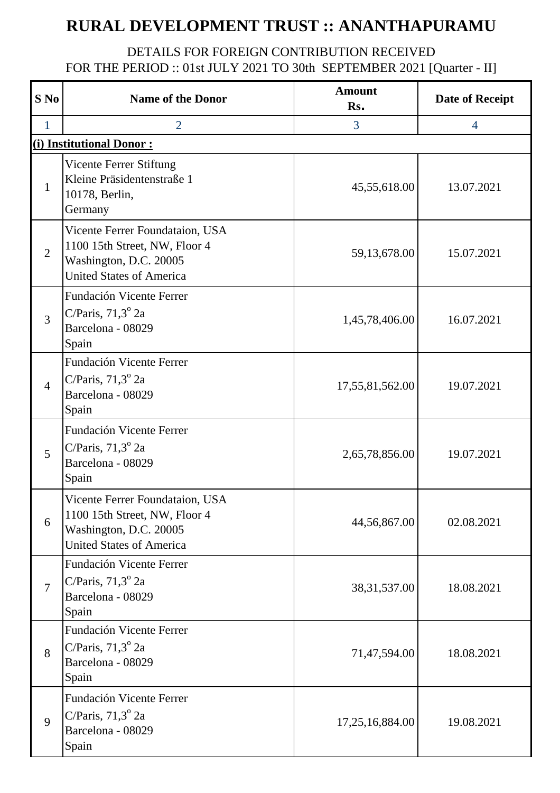## **RURAL DEVELOPMENT TRUST :: ANANTHAPURAMU**

## DETAILS FOR FOREIGN CONTRIBUTION RECEIVED FOR THE PERIOD :: 01st JULY 2021 TO 30th SEPTEMBER 2021 [Quarter - II]

| S No           | <b>Name of the Donor</b>                                                                                                      | <b>Amount</b><br>Rs. | <b>Date of Receipt</b> |
|----------------|-------------------------------------------------------------------------------------------------------------------------------|----------------------|------------------------|
| $\mathbf{1}$   | $\overline{2}$                                                                                                                | 3                    | $\overline{4}$         |
|                | (i) Institutional Donor:                                                                                                      |                      |                        |
| $\mathbf{1}$   | Vicente Ferrer Stiftung<br>Kleine Präsidentenstraße 1<br>10178, Berlin,<br>Germany                                            | 45,55,618.00         | 13.07.2021             |
| $\overline{2}$ | Vicente Ferrer Foundataion, USA<br>1100 15th Street, NW, Floor 4<br>Washington, D.C. 20005<br><b>United States of America</b> | 59,13,678.00         | 15.07.2021             |
| 3              | Fundación Vicente Ferrer<br>C/Paris, $71,3^{\circ}$ 2a<br>Barcelona - 08029<br>Spain                                          | 1,45,78,406.00       | 16.07.2021             |
| $\overline{4}$ | Fundación Vicente Ferrer<br>C/Paris, $71,3^{\circ}$ 2a<br>Barcelona - 08029<br>Spain                                          | 17,55,81,562.00      | 19.07.2021             |
| 5              | Fundación Vicente Ferrer<br>C/Paris, $71,3^{\circ}$ 2a<br>Barcelona - 08029<br>Spain                                          | 2,65,78,856.00       | 19.07.2021             |
| 6              | Vicente Ferrer Foundataion, USA<br>1100 15th Street, NW, Floor 4<br>Washington, D.C. 20005<br><b>United States of America</b> | 44,56,867.00         | 02.08.2021             |
| $\overline{7}$ | Fundación Vicente Ferrer<br>C/Paris, $71,3^{\circ}$ 2a<br>Barcelona - 08029<br>Spain                                          | 38, 31, 537.00       | 18.08.2021             |
| 8              | Fundación Vicente Ferrer<br>C/Paris, $71,3^{\circ}$ 2a<br>Barcelona - 08029<br>Spain                                          | 71,47,594.00         | 18.08.2021             |
| 9              | Fundación Vicente Ferrer<br>C/Paris, $71,3^{\circ}$ 2a<br>Barcelona - 08029<br>Spain                                          | 17,25,16,884.00      | 19.08.2021             |